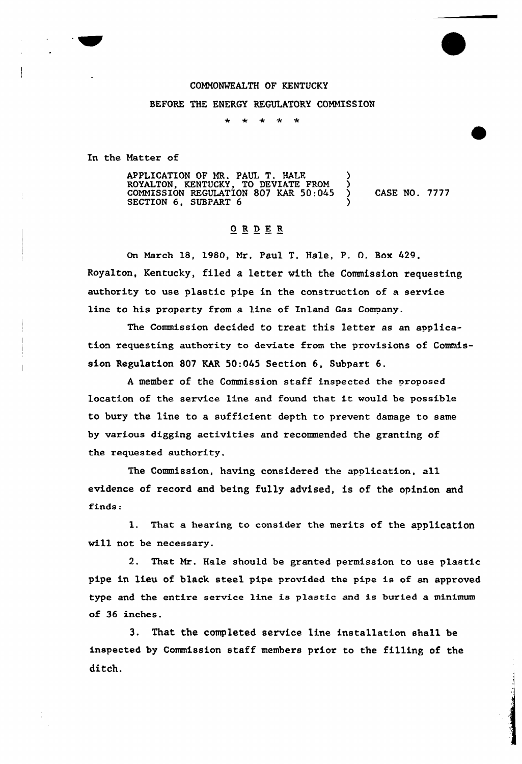## COMMONWEALTH QF KENTUCKY

## BEFORE THE ENERGY REGULATORY COMMISSION

 $\star$  $\star$  $\star$  $\star$ 

In the Natter of

APPLICATION OF MR. PAUL T. HALE ) ROYALTON, KENTUCKY, TO DEVIATE FROM ) COMMISSION REGULATION 807 KAR 50:045 ) CASE NO. 7777 SECTION 6, SUBPART 6

## ORDER

On March 18, 1980, Mr. Paul T. HaLe, P. 0. Box 429, Royalton, Kentucky, filed a letter vith the Commission requesting authority to use plastic pipe in the construction of a service line to his property from a line of Inland Gas Company.

The Commission decided to treat this Letter as an application requesting authority to deviate from the provisions of Commission Regulation 807 KAR 50:045 Section 6, Subpart 6.

<sup>A</sup> member of the Commission staff inspected the proposed location of the service line and found that it would be possib1e to bury the line to a sufficient depth to prevent damage to same by various digging activities and recommended the granting of the requested authority.

The Commission, having considered the application, al1 evidence of record and being fully advised, is of the opinion and finds:

1. That a hearing to consider the merits of the application will not be necessary.

2. That Mr. Hale should be granted permission to use plastic pipe in lieu of black steel pipe provided the pipe is of an approved type and the entire service line is plastic and is buried a minimum of 36 inches.

3. That the completed service line installation shall be inspected by Commission staff members prior to the filling of the ditch.